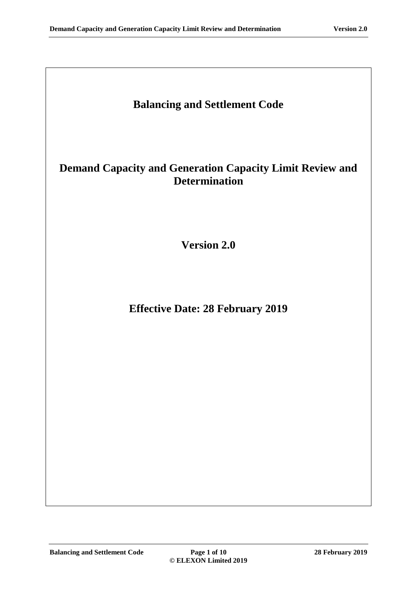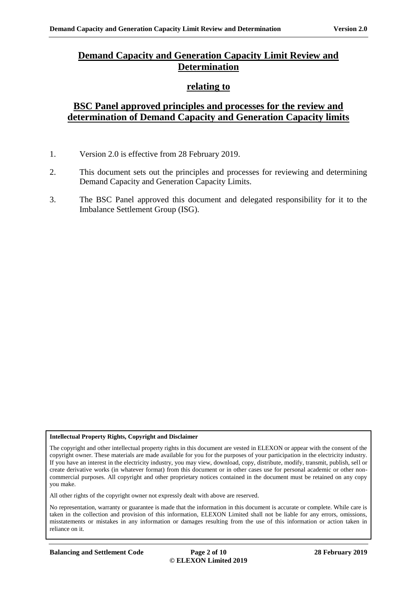## **Demand Capacity and Generation Capacity Limit Review and Determination**

### **relating to**

## **BSC Panel approved principles and processes for the review and determination of Demand Capacity and Generation Capacity limits**

- 1. Version 2.0 is effective from 28 February 2019.
- 2. This document sets out the principles and processes for reviewing and determining Demand Capacity and Generation Capacity Limits.
- 3. The BSC Panel approved this document and delegated responsibility for it to the Imbalance Settlement Group (ISG).

#### **Intellectual Property Rights, Copyright and Disclaimer**

The copyright and other intellectual property rights in this document are vested in ELEXON or appear with the consent of the copyright owner. These materials are made available for you for the purposes of your participation in the electricity industry. If you have an interest in the electricity industry, you may view, download, copy, distribute, modify, transmit, publish, sell or create derivative works (in whatever format) from this document or in other cases use for personal academic or other noncommercial purposes. All copyright and other proprietary notices contained in the document must be retained on any copy you make.

All other rights of the copyright owner not expressly dealt with above are reserved.

No representation, warranty or guarantee is made that the information in this document is accurate or complete. While care is taken in the collection and provision of this information, ELEXON Limited shall not be liable for any errors, omissions, misstatements or mistakes in any information or damages resulting from the use of this information or action taken in reliance on it.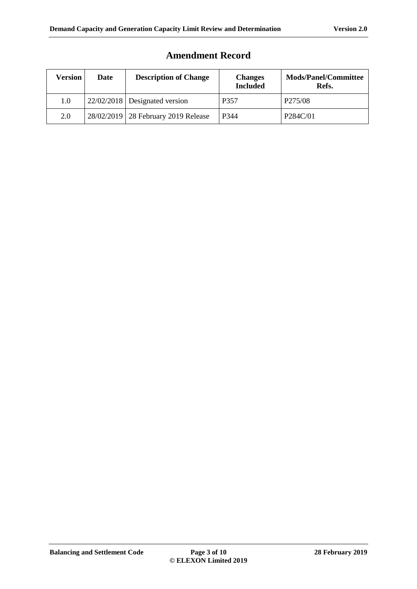| Version | Date | <b>Description of Change</b>          | <b>Changes</b><br><b>Included</b> | <b>Mods/Panel/Committee</b><br>Refs. |
|---------|------|---------------------------------------|-----------------------------------|--------------------------------------|
| $1.0\,$ |      | $22/02/2018$ Designated version       | P357                              | P <sub>275</sub> /08                 |
| 2.0     |      | 28/02/2019   28 February 2019 Release | P344                              | P284C/01                             |

# **Amendment Record**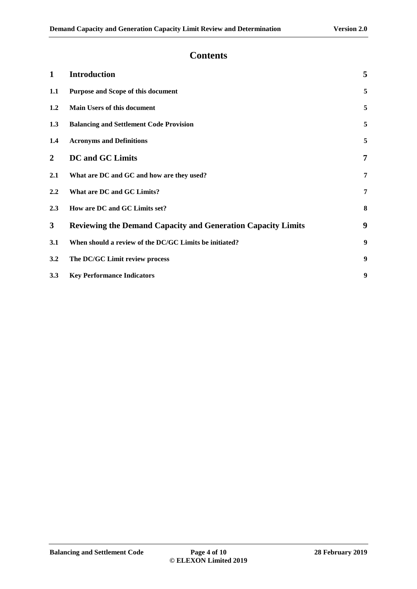### **Contents**

| $\mathbf{1}$     | <b>Introduction</b>                                                 | 5              |
|------------------|---------------------------------------------------------------------|----------------|
| 1.1              | Purpose and Scope of this document                                  | 5              |
| 1.2              | <b>Main Users of this document</b>                                  | 5              |
| 1.3              | <b>Balancing and Settlement Code Provision</b>                      | 5              |
| $1.4\phantom{0}$ | <b>Acronyms and Definitions</b>                                     | 5              |
| $\overline{2}$   | <b>DC</b> and GC Limits                                             | $\overline{7}$ |
| 2.1              | What are DC and GC and how are they used?                           | 7              |
| 2.2              | What are DC and GC Limits?                                          | 7              |
| 2.3              | How are DC and GC Limits set?                                       | 8              |
| $\mathbf{3}$     | <b>Reviewing the Demand Capacity and Generation Capacity Limits</b> | 9              |
| 3.1              | When should a review of the DC/GC Limits be initiated?              | 9              |
| 3.2              | The DC/GC Limit review process                                      | 9              |
| 3.3              | <b>Key Performance Indicators</b>                                   | 9              |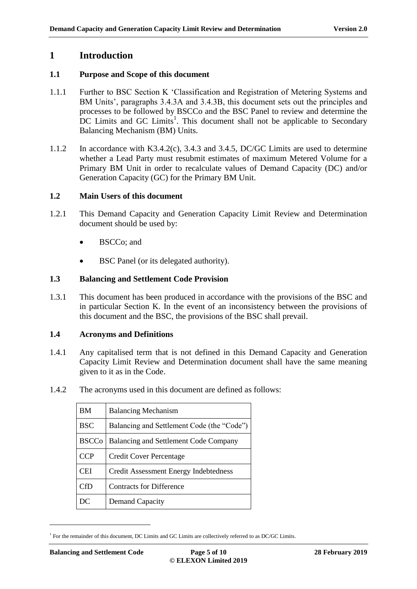### <span id="page-4-0"></span>**1 Introduction**

#### <span id="page-4-1"></span>**1.1 Purpose and Scope of this document**

- 1.1.1 Further to BSC Section K 'Classification and Registration of Metering Systems and BM Units', paragraphs 3.4.3A and 3.4.3B, this document sets out the principles and processes to be followed by BSCCo and the BSC Panel to review and determine the  $\overline{DC}$  Limits and GC Limits<sup>1</sup>. This document shall not be applicable to Secondary Balancing Mechanism (BM) Units.
- 1.1.2 In accordance with K3.4.2(c), 3.4.3 and 3.4.5, DC/GC Limits are used to determine whether a Lead Party must resubmit estimates of maximum Metered Volume for a Primary BM Unit in order to recalculate values of Demand Capacity (DC) and/or Generation Capacity (GC) for the Primary BM Unit.

### <span id="page-4-2"></span>**1.2 Main Users of this document**

- 1.2.1 This Demand Capacity and Generation Capacity Limit Review and Determination document should be used by:
	- BSCCo; and
	- BSC Panel (or its delegated authority).

#### <span id="page-4-3"></span>**1.3 Balancing and Settlement Code Provision**

1.3.1 This document has been produced in accordance with the provisions of the BSC and in particular Section K. In the event of an inconsistency between the provisions of this document and the BSC, the provisions of the BSC shall prevail.

#### <span id="page-4-4"></span>**1.4 Acronyms and Definitions**

- 1.4.1 Any capitalised term that is not defined in this Demand Capacity and Generation Capacity Limit Review and Determination document shall have the same meaning given to it as in the Code.
- 1.4.2 The acronyms used in this document are defined as follows:

| ВM           | <b>Balancing Mechanism</b>                 |
|--------------|--------------------------------------------|
| <b>BSC</b>   | Balancing and Settlement Code (the "Code") |
| <b>BSCCo</b> | Balancing and Settlement Code Company      |
| <b>CCP</b>   | <b>Credit Cover Percentage</b>             |
| <b>CEI</b>   | Credit Assessment Energy Indebtedness      |
| CfD          | <b>Contracts for Difference</b>            |
| DС           | <b>Demand Capacity</b>                     |

<sup>&</sup>lt;sup>1</sup> For the remainder of this document, DC Limits and GC Limits are collectively referred to as DC/GC Limits.

 $\overline{a}$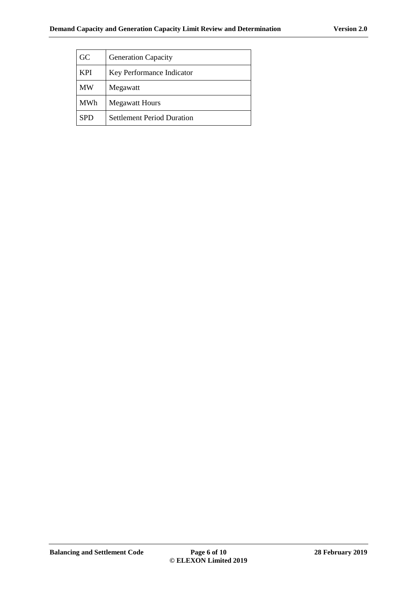| GC         | <b>Generation Capacity</b>        |
|------------|-----------------------------------|
| <b>KPI</b> | Key Performance Indicator         |
| <b>MW</b>  | Megawatt                          |
| <b>MWh</b> | <b>Megawatt Hours</b>             |
| <b>SPD</b> | <b>Settlement Period Duration</b> |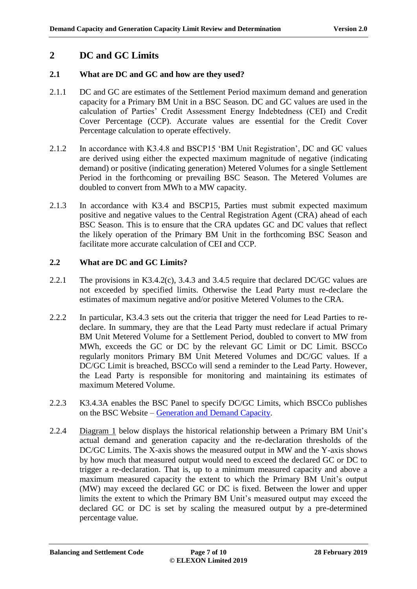## <span id="page-6-0"></span>**2 DC and GC Limits**

### <span id="page-6-1"></span>**2.1 What are DC and GC and how are they used?**

- 2.1.1 DC and GC are estimates of the Settlement Period maximum demand and generation capacity for a Primary BM Unit in a BSC Season. DC and GC values are used in the calculation of Parties' Credit Assessment Energy Indebtedness (CEI) and Credit Cover Percentage (CCP). Accurate values are essential for the Credit Cover Percentage calculation to operate effectively.
- 2.1.2 In accordance with K3.4.8 and BSCP15 'BM Unit Registration', DC and GC values are derived using either the expected maximum magnitude of negative (indicating demand) or positive (indicating generation) Metered Volumes for a single Settlement Period in the forthcoming or prevailing BSC Season. The Metered Volumes are doubled to convert from MWh to a MW capacity.
- 2.1.3 In accordance with K3.4 and BSCP15, Parties must submit expected maximum positive and negative values to the Central Registration Agent (CRA) ahead of each BSC Season. This is to ensure that the CRA updates GC and DC values that reflect the likely operation of the Primary BM Unit in the forthcoming BSC Season and facilitate more accurate calculation of CEI and CCP.

### <span id="page-6-2"></span>**2.2 What are DC and GC Limits?**

- 2.2.1 The provisions in K3.4.2(c), 3.4.3 and 3.4.5 require that declared DC/GC values are not exceeded by specified limits. Otherwise the Lead Party must re-declare the estimates of maximum negative and/or positive Metered Volumes to the CRA.
- 2.2.2 In particular, K3.4.3 sets out the criteria that trigger the need for Lead Parties to redeclare. In summary, they are that the Lead Party must redeclare if actual Primary BM Unit Metered Volume for a Settlement Period, doubled to convert to MW from MWh, exceeds the GC or DC by the relevant GC Limit or DC Limit. BSCCo regularly monitors Primary BM Unit Metered Volumes and DC/GC values. If a DC/GC Limit is breached, BSCCo will send a reminder to the Lead Party. However, the Lead Party is responsible for monitoring and maintaining its estimates of maximum Metered Volume.
- 2.2.3 K3.4.3A enables the BSC Panel to specify DC/GC Limits, which BSCCo publishes on the BSC Website – [Generation and Demand Capacity.](https://www.elexon.co.uk/operations-settlement/balancing-mechanism-units/generation-and-demand-capacity/)
- 2.2.4 Diagram 1 below displays the historical relationship between a Primary BM Unit's actual demand and generation capacity and the re-declaration thresholds of the DC/GC Limits. The X-axis shows the measured output in MW and the Y-axis shows by how much that measured output would need to exceed the declared GC or DC to trigger a re-declaration. That is, up to a minimum measured capacity and above a maximum measured capacity the extent to which the Primary BM Unit's output (MW) may exceed the declared GC or DC is fixed. Between the lower and upper limits the extent to which the Primary BM Unit's measured output may exceed the declared GC or DC is set by scaling the measured output by a pre-determined percentage value.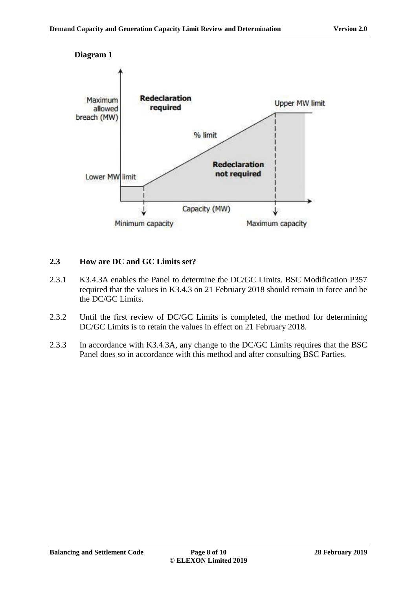



#### <span id="page-7-0"></span>**2.3 How are DC and GC Limits set?**

- 2.3.1 K3.4.3A enables the Panel to determine the DC/GC Limits. BSC Modification P357 required that the values in K3.4.3 on 21 February 2018 should remain in force and be the DC/GC Limits.
- 2.3.2 Until the first review of DC/GC Limits is completed, the method for determining DC/GC Limits is to retain the values in effect on 21 February 2018.
- 2.3.3 In accordance with K3.4.3A, any change to the DC/GC Limits requires that the BSC Panel does so in accordance with this method and after consulting BSC Parties.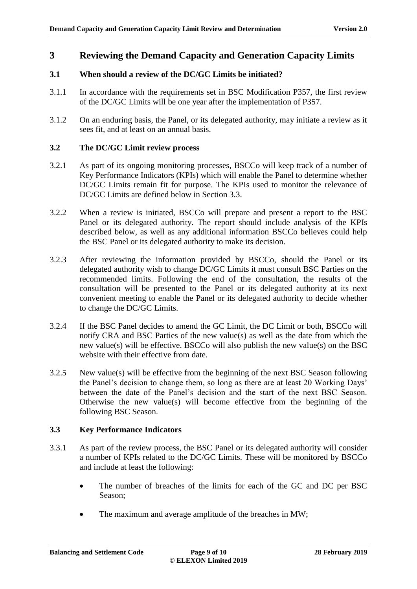### <span id="page-8-0"></span>**3 Reviewing the Demand Capacity and Generation Capacity Limits**

#### <span id="page-8-1"></span>**3.1 When should a review of the DC/GC Limits be initiated?**

- 3.1.1 In accordance with the requirements set in BSC Modification P357, the first review of the DC/GC Limits will be one year after the implementation of P357.
- 3.1.2 On an enduring basis, the Panel, or its delegated authority, may initiate a review as it sees fit, and at least on an annual basis.

#### <span id="page-8-2"></span>**3.2 The DC/GC Limit review process**

- 3.2.1 As part of its ongoing monitoring processes, BSCCo will keep track of a number of Key Performance Indicators (KPIs) which will enable the Panel to determine whether DC/GC Limits remain fit for purpose. The KPIs used to monitor the relevance of DC/GC Limits are defined below in Section 3.3.
- 3.2.2 When a review is initiated, BSCCo will prepare and present a report to the BSC Panel or its delegated authority. The report should include analysis of the KPIs described below, as well as any additional information BSCCo believes could help the BSC Panel or its delegated authority to make its decision.
- 3.2.3 After reviewing the information provided by BSCCo, should the Panel or its delegated authority wish to change DC/GC Limits it must consult BSC Parties on the recommended limits. Following the end of the consultation, the results of the consultation will be presented to the Panel or its delegated authority at its next convenient meeting to enable the Panel or its delegated authority to decide whether to change the DC/GC Limits.
- 3.2.4 If the BSC Panel decides to amend the GC Limit, the DC Limit or both, BSCCo will notify CRA and BSC Parties of the new value(s) as well as the date from which the new value(s) will be effective. BSCCo will also publish the new value(s) on the BSC website with their effective from date.
- 3.2.5 New value(s) will be effective from the beginning of the next BSC Season following the Panel's decision to change them, so long as there are at least 20 Working Days' between the date of the Panel's decision and the start of the next BSC Season. Otherwise the new value(s) will become effective from the beginning of the following BSC Season.

### <span id="page-8-3"></span>**3.3 Key Performance Indicators**

- 3.3.1 As part of the review process, the BSC Panel or its delegated authority will consider a number of KPIs related to the DC/GC Limits. These will be monitored by BSCCo and include at least the following:
	- The number of breaches of the limits for each of the GC and DC per BSC Season;
	- The maximum and average amplitude of the breaches in MW;